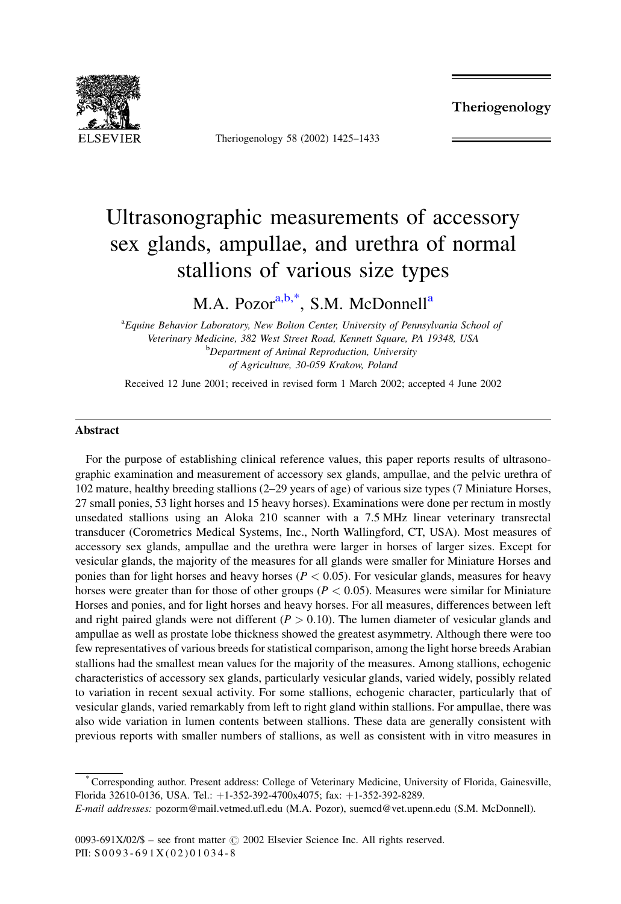Theriogenology



Theriogenology 58 (2002) 1425-1433

# Ultrasonographic measurements of accessory sex glands, ampullae, and urethra of normal stallions of various size types

M.A. Pozor<sup>a,b,\*</sup>, S.M. McDonnell<sup>a</sup>

<sup>a</sup>Equine Behavior Laboratory, New Bolton Center, University of Pennsylvania School of Veterinary Medicine, 382 West Street Road, Kennett Square, PA 19348, USA <sup>b</sup>Department of Animal Reproduction, University of Agriculture, 30-059 Krakow, Poland

Received 12 June 2001; received in revised form 1 March 2002; accepted 4 June 2002

#### **Abstract**

For the purpose of establishing clinical reference values, this paper reports results of ultrasonographic examination and measurement of accessory sex glands, ampullae, and the pelvic urethra of 102 mature, healthy breeding stallions (2-29 years of age) of various size types (7 Miniature Horses, 27 small ponies, 53 light horses and 15 heavy horses). Examinations were done per rectum in mostly unsedated stallions using an Aloka 210 scanner with a 7.5 MHz linear veterinary transrectal transducer (Corometrics Medical Systems, Inc., North Wallingford, CT, USA). Most measures of accessory sex glands, ampullae and the urethra were larger in horses of larger sizes. Except for vesicular glands, the majority of the measures for all glands were smaller for Miniature Horses and ponies than for light horses and heavy horses ( $P < 0.05$ ). For vesicular glands, measures for heavy horses were greater than for those of other groups ( $P < 0.05$ ). Measures were similar for Miniature Horses and ponies, and for light horses and heavy horses. For all measures, differences between left and right paired glands were not different ( $P > 0.10$ ). The lumen diameter of vesicular glands and ampullae as well as prostate lobe thickness showed the greatest asymmetry. Although there were too few representatives of various breeds for statistical comparison, among the light horse breeds Arabian stallions had the smallest mean values for the majority of the measures. Among stallions, echogenic characteristics of accessory sex glands, particularly vesicular glands, varied widely, possibly related to variation in recent sexual activity. For some stallions, echogenic character, particularly that of vesicular glands, varied remarkably from left to right gland within stallions. For ampullae, there was also wide variation in lumen contents between stallions. These data are generally consistent with previous reports with smaller numbers of stallions, as well as consistent with in vitro measures in

\*Corresponding author. Present address: College of Veterinary Medicine, University of Florida, Gainesville, Florida 32610-0136, USA. Tel.: +1-352-392-4700x4075; fax: +1-352-392-8289.

E-mail addresses: pozorm@mail.vetmed.ufl.edu (M.A. Pozor), suemcd@vet.upenn.edu (S.M. McDonnell).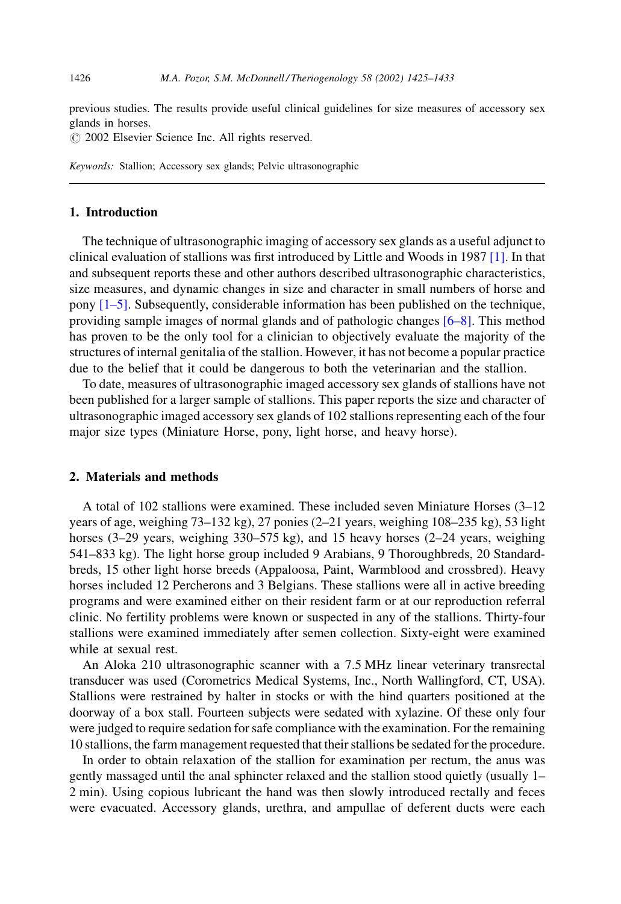previous studies. The results provide useful clinical guidelines for size measures of accessory sex glands in horses.

© 2002 Elsevier Science Inc. All rights reserved.

Keywords: Stallion; Accessory sex glands; Pelvic ultrasonographic

### 1. Introduction

The technique of ultrasonographic imaging of accessory sex glands as a useful adjunct to clinical evaluation of stallions was first introduced by Little and Woods in 1987 [1]. In that and subsequent reports these and other authors described ultrasonographic characteristics, size measures, and dynamic changes in size and character in small numbers of horse and pony  $[1-5]$ . Subsequently, considerable information has been published on the technique, providing sample images of normal glands and of pathologic changes  $[6-8]$ . This method has proven to be the only tool for a clinician to objectively evaluate the majority of the structures of internal genitalia of the stallion. However, it has not become a popular practice due to the belief that it could be dangerous to both the veterinarian and the stallion.

To date, measures of ultrasonographic imaged accessory sex glands of stallions have not been published for a larger sample of stallions. This paper reports the size and character of ultrasonographic imaged accessory sex glands of 102 stallions representing each of the four major size types (Miniature Horse, pony, light horse, and heavy horse).

## 2. Materials and methods

A total of 102 stallions were examined. These included seven Miniature Horses (3–12) years of age, weighing 73–132 kg), 27 ponies (2–21 years, weighing 108–235 kg), 53 light horses  $(3-29)$  years, weighing 330–575 kg), and 15 heavy horses  $(2-24)$  years, weighing 541–833 kg). The light horse group included 9 Arabians, 9 Thoroughbreds, 20 Standardbreds, 15 other light horse breeds (Appaloosa, Paint, Warmblood and crossbred). Heavy horses included 12 Percherons and 3 Belgians. These stallions were all in active breeding programs and were examined either on their resident farm or at our reproduction referral clinic. No fertility problems were known or suspected in any of the stallions. Thirty-four stallions were examined immediately after semen collection. Sixty-eight were examined while at sexual rest.

An Aloka 210 ultrasonographic scanner with a 7.5 MHz linear veterinary transrectal transducer was used (Corometrics Medical Systems, Inc., North Wallingford, CT, USA). Stallions were restrained by halter in stocks or with the hind quarters positioned at the doorway of a box stall. Fourteen subjects were sedated with xylazine. Of these only four were judged to require sedation for safe compliance with the examination. For the remaining 10 stallions, the farm management requested that their stallions be sedated for the procedure.

In order to obtain relaxation of the stallion for examination per rectum, the anus was gently massaged until the anal sphincter relaxed and the stallion stood quietly (usually 1– 2 min). Using copious lubricant the hand was then slowly introduced rectally and feces were evacuated. Accessory glands, urethra, and ampullae of deferent ducts were each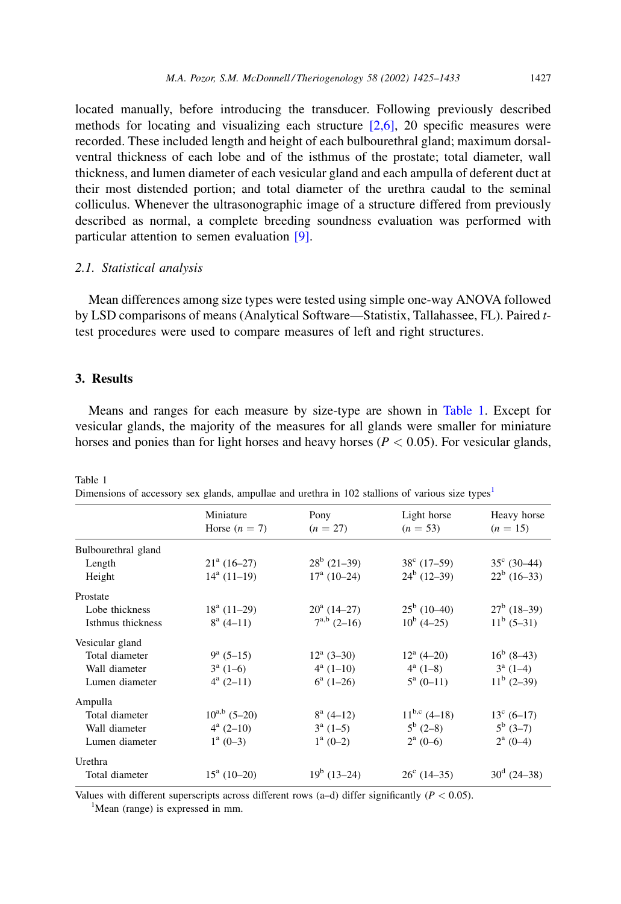1427

located manually, before introducing the transducer. Following previously described methods for locating and visualizing each structure  $[2,6]$ , 20 specific measures were recorded. These included length and height of each bulbourethral gland; maximum dorsalventral thickness of each lobe and of the isthmus of the prostate; total diameter, wall thickness, and lumen diameter of each vesicular gland and each ampulla of deferent duct at their most distended portion; and total diameter of the urethra caudal to the seminal colliculus. Whenever the ultrasonographic image of a structure differed from previously described as normal, a complete breeding soundness evaluation was performed with particular attention to semen evaluation  $[9]$ .

#### 2.1. Statistical analysis

Mean differences among size types were tested using simple one-way ANOVA followed by LSD comparisons of means (Analytical Software—Statistix, Tallahassee, FL). Paired ttest procedures were used to compare measures of left and right structures.

## 3. Results

Means and ranges for each measure by size-type are shown in Table 1. Except for vesicular glands, the majority of the measures for all glands were smaller for miniature horses and ponies than for light horses and heavy horses ( $P < 0.05$ ). For vesicular glands,

|                     | Miniature<br>Horse $(n = 7)$ | Pony<br>$(n = 27)$   | Light horse<br>$(n = 53)$ | Heavy horse<br>$(n = 15)$ |
|---------------------|------------------------------|----------------------|---------------------------|---------------------------|
| Bulbourethral gland |                              |                      |                           |                           |
| Length              | $21^a (16-27)$               | $28^b$ (21-39)       | $38^{\circ}$ (17-59)      | $35^{\circ}$ (30–44)      |
| Height              | $14^a$ (11–19)               | $17^{\rm a}$ (10–24) | $24^b$ (12–39)            | $22^b$ (16-33)            |
| Prostate            |                              |                      |                           |                           |
| Lobe thickness      | $18^a$ (11–29)               | $20^a$ (14–27)       | $25^{\rm b}$ (10–40)      | $27^b$ (18-39)            |
| Isthmus thickness   | $8^a$ (4-11)                 | $7^{a,b}$ $(2-16)$   | $10^b$ (4–25)             | $11^b$ (5–31)             |
| Vesicular gland     |                              |                      |                           |                           |
| Total diameter      | $9^a$ (5–15)                 | $12^a$ (3–30)        | $12^a (4 - 20)$           | $16^b$ (8–43)             |
| Wall diameter       | $3^a$ (1–6)                  | $4^a(1-10)$          | $4^a$ (1-8)               | $3^a$ (1–4)               |
| Lumen diameter      | $4^a$ (2–11)                 | $6^a$ (1–26)         | $5^a$ (0-11)              | $11^b$ (2–39)             |
| Ampulla             |                              |                      |                           |                           |
| Total diameter      | $10^{a,b}$ (5–20)            | $8^a$ (4-12)         | $11^{b,c}$ (4–18)         | $13^{\circ}$ (6-17)       |
| Wall diameter       | $4^a$ (2–10)                 | $3^a$ (1–5)          | $5^b$ (2–8)               | $5^b$ (3-7)               |
| Lumen diameter      | $1^a (0-3)$                  | $1^a (0-2)$          | $2^a(0-6)$                | $2^a (0-4)$               |
| Urethra             |                              |                      |                           |                           |
| Total diameter      | $15^a$ (10-20)               | $19^b$ (13–24)       | $26^{\circ}$ (14-35)      | $30^d$ (24–38)            |

Table 1 Dimensions of accessory sex glands, ampullae and urethra in 102 stallions of various size types<sup>1</sup>

Values with different superscripts across different rows (a-d) differ significantly ( $P < 0.05$ ). <sup>1</sup>Mean (range) is expressed in mm.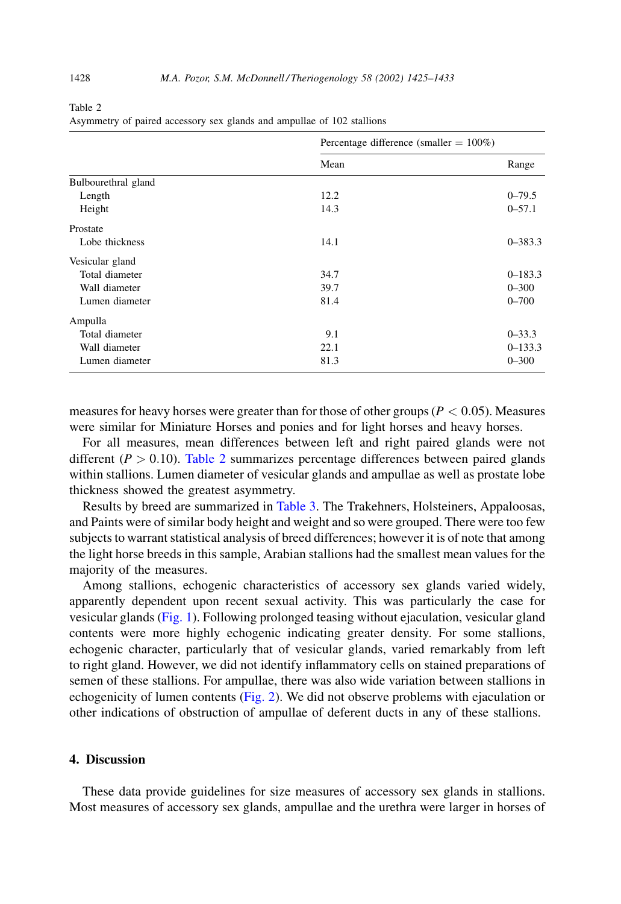$D$ organizac $\text{diff}$ organizac $(1000, 1000)$ 

Table 2

| Asymmetry of paired accessory sex glands and ampullae of 102 stallions |  |  |  |  |
|------------------------------------------------------------------------|--|--|--|--|
|------------------------------------------------------------------------|--|--|--|--|

|                     | $r$ encemage unierence (smaller $-100\%$ ) |             |  |
|---------------------|--------------------------------------------|-------------|--|
|                     | Mean                                       | Range       |  |
| Bulbourethral gland |                                            |             |  |
| Length              | 12.2                                       | $0 - 79.5$  |  |
| Height              | 14.3                                       | $0 - 57.1$  |  |
| Prostate            |                                            |             |  |
| Lobe thickness      | 14.1                                       | $0 - 383.3$ |  |
| Vesicular gland     |                                            |             |  |
| Total diameter      | 34.7                                       | $0 - 183.3$ |  |
| Wall diameter       | 39.7                                       | $0 - 300$   |  |
| Lumen diameter      | 81.4                                       | $0 - 700$   |  |
| Ampulla             |                                            |             |  |
| Total diameter      | 9.1                                        | $0 - 33.3$  |  |
| Wall diameter       | 22.1                                       | $0 - 133.3$ |  |
| Lumen diameter      | 81.3                                       | $0 - 300$   |  |

measures for heavy horses were greater than for those of other groups ( $P < 0.05$ ). Measures were similar for Miniature Horses and ponies and for light horses and heavy horses.

For all measures, mean differences between left and right paired glands were not different ( $P > 0.10$ ). Table 2 summarizes percentage differences between paired glands within stallions. Lumen diameter of vesicular glands and ampullae as well as prostate lobe thickness showed the greatest asymmetry.

Results by breed are summarized in Table 3. The Trakehners, Holsteiners, Appaloosas, and Paints were of similar body height and weight and so were grouped. There were too few subjects to warrant statistical analysis of breed differences; however it is of note that among the light horse breeds in this sample, Arabian stallions had the smallest mean values for the majority of the measures.

Among stallions, echogenic characteristics of accessory sex glands varied widely, apparently dependent upon recent sexual activity. This was particularly the case for vesicular glands (Fig. 1). Following prolonged teasing without ejaculation, vesicular gland contents were more highly echogenic indicating greater density. For some stallions, echogenic character, particularly that of vesicular glands, varied remarkably from left to right gland. However, we did not identify inflammatory cells on stained preparations of semen of these stallions. For ampullae, there was also wide variation between stallions in echogenicity of lumen contents (Fig. 2). We did not observe problems with ejaculation or other indications of obstruction of ampullae of deferent ducts in any of these stallions.

## 4. Discussion

These data provide guidelines for size measures of accessory sex glands in stallions. Most measures of accessory sex glands, ampullae and the urethra were larger in horses of

1428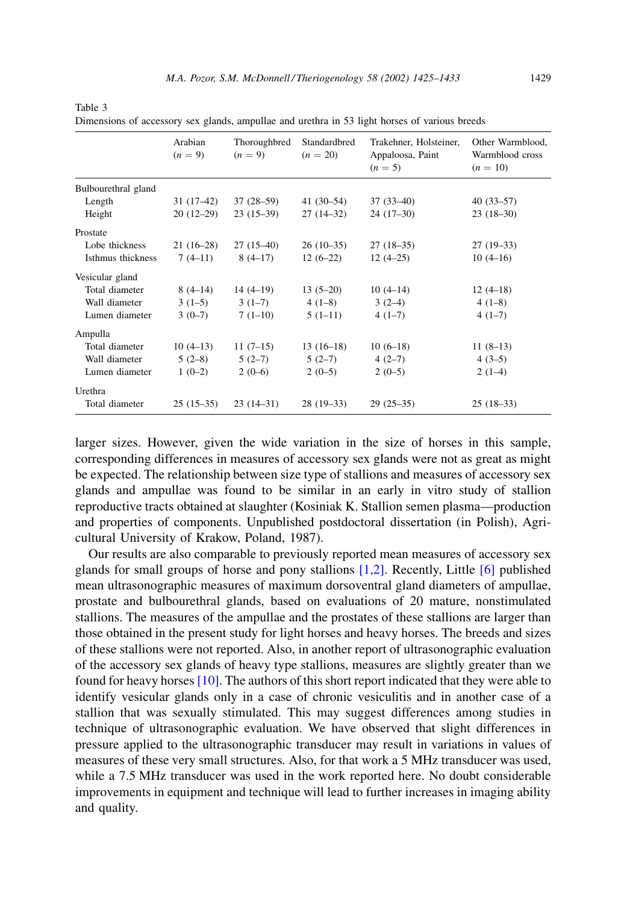| 1429 |
|------|
|      |

|                     | Arabian<br>$(n = 9)$ | Thoroughbred<br>$(n = 9)$ | Standardbred<br>$(n = 20)$ | Trakehner, Holsteiner,<br>Appaloosa, Paint<br>$(n = 5)$ | Other Warmblood,<br>Warmblood cross<br>$(n = 10)$ |
|---------------------|----------------------|---------------------------|----------------------------|---------------------------------------------------------|---------------------------------------------------|
| Bulbourethral gland |                      |                           |                            |                                                         |                                                   |
| Length              | $31(17-42)$          | $37(28-59)$               | 41 $(30-54)$               | $37(33-40)$                                             | $40(33-57)$                                       |
| Height              | $20(12-29)$          | $23(15-39)$               | $27(14-32)$                | $24(17-30)$                                             | $23(18-30)$                                       |
| Prostate            |                      |                           |                            |                                                         |                                                   |
| Lobe thickness      | $21(16-28)$          | $27(15-40)$               | $26(10-35)$                | $27(18-35)$                                             | $27(19-33)$                                       |
| Isthmus thickness   | $7(4-11)$            | $8(4-17)$                 | $12(6-22)$                 | $12(4-25)$                                              | $10(4-16)$                                        |
| Vesicular gland     |                      |                           |                            |                                                         |                                                   |
| Total diameter      | $8(4-14)$            | $14(4-19)$                | $13(5-20)$                 | $10(4-14)$                                              | $12(4-18)$                                        |
| Wall diameter       | $3(1-5)$             | $3(1-7)$                  | $4(1-8)$                   | $3(2-4)$                                                | $4(1-8)$                                          |
| Lumen diameter      | $3(0-7)$             | $7(1-10)$                 | $5(1-11)$                  | $4(1-7)$                                                | $4(1-7)$                                          |
| Ampulla             |                      |                           |                            |                                                         |                                                   |
| Total diameter      | $10(4-13)$           | $11(7-15)$                | $13(16-18)$                | $10(6-18)$                                              | $11(8-13)$                                        |
| Wall diameter       | $5(2-8)$             | $5(2-7)$                  | $5(2-7)$                   | $4(2-7)$                                                | $4(3-5)$                                          |
| Lumen diameter      | $1(0-2)$             | $2(0-6)$                  | $2(0-5)$                   | $2(0-5)$                                                | $2(1-4)$                                          |
| Urethra             |                      |                           |                            |                                                         |                                                   |
| Total diameter      | $25(15-35)$          | $23(14-31)$               | $28(19-33)$                | $29(25-35)$                                             | $25(18-33)$                                       |

<span id="page-4-0"></span>Table 3

Dimensions of accessory sex glands, ampullae and urethra in 53 light horses of various breeds

larger sizes. However, given the wide variation in the size of horses in this sample, corresponding differences in measures of accessory sex glands were not as great as might be expected. The relationship between size type of stallions and measures of accessory sex glands and ampullae was found to be similar in an early in vitro study of stallion reproductive tracts obtained at slaughter (Kosiniak K. Stallion semen plasma—production and properties of components. Unpublished postdoctoral dissertation (in Polish), Agricultural University of Krakow, Poland, 1987).

Our results are also comparable to previously reported mean measures of accessory sex glands for small groups of horse and pony stallions  $[1,2]$ . Recently, Little  $[6]$  published mean ultrasonographic measures of maximum dorsoventral gland diameters of ampullae, prostate and bulbourethral glands, based on evaluations of 20 mature, nonstimulated stallions. The measures of the ampullae and the prostates of these stallions are larger than those obtained in the present study for light horses and heavy horses. The breeds and sizes of these stallions were not reported. Also, in another report of ultrasonographic evaluation of the accessory sex glands of heavy type stallions, measures are slightly greater than we found for heavy horses  $[10]$ . The authors of this short report indicated that they were able to identify vesicular glands only in a case of chronic vesiculitis and in another case of a stallion that was sexually stimulated. This may suggest differences among studies in technique of ultrasonographic evaluation. We have observed that slight differences in pressure applied to the ultrasonographic transducer may result in variations in values of measures of these very small structures. Also, for that work a 5 MHz transducer was used, while a 7.5 MHz transducer was used in the work reported here. No doubt considerable improvements in equipment and technique will lead to further increases in imaging ability and quality.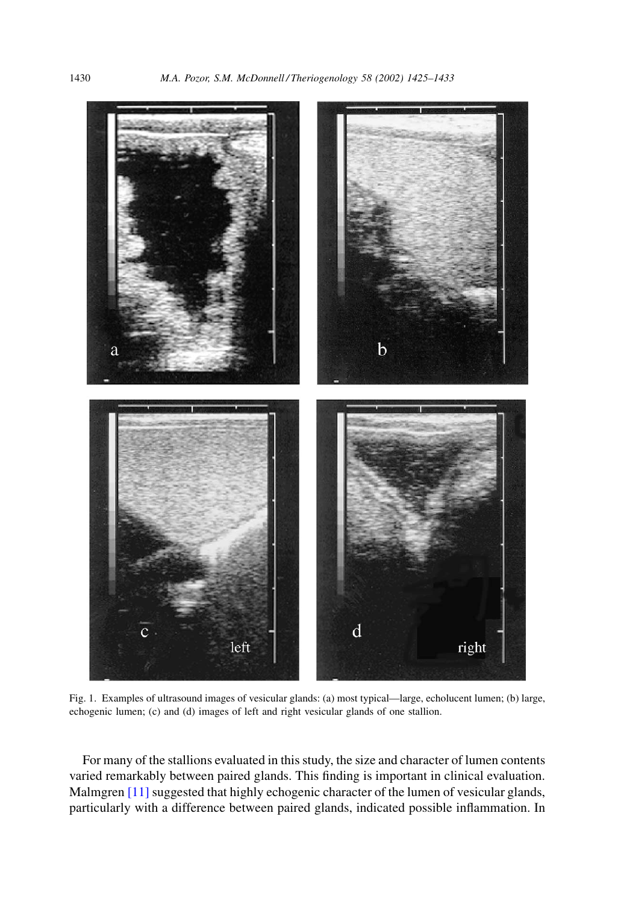<span id="page-5-0"></span>

Fig. 1. Examples of ultrasound images of vesicular glands: (a) most typical—large, echolucent lumen; (b) large, echogenic lumen; (c) and (d) images of left and right vesicular glands of one stallion.

For many of the stallions evaluated in this study, the size and character of lumen contents varied remarkably between paired glands. This finding is important in clinical evaluation. Malmgren [11] suggested that highly echogenic character of the lumen of vesicular glands, particularly with a difference between paired glands, indicated possible inflammation. In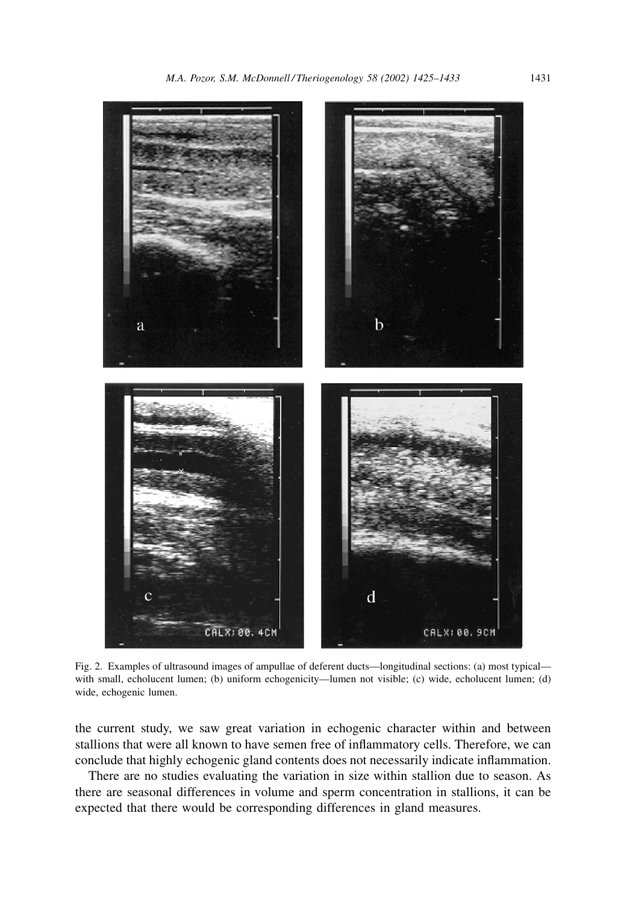<span id="page-6-0"></span>

Fig. 2. Examples of ultrasound images of ampullae of deferent ducts-longitudinal sections: (a) most typicalwith small, echolucent lumen; (b) uniform echogenicity—lumen not visible; (c) wide, echolucent lumen; (d) wide, echogenic lumen.

the current study, we saw great variation in echogenic character within and between stallions that were all known to have semen free of inflammatory cells. Therefore, we can conclude that highly echogenic gland contents does not necessarily indicate inflammation.

There are no studies evaluating the variation in size within stallion due to season. As there are seasonal differences in volume and sperm concentration in stallions, it can be expected that there would be corresponding differences in gland measures.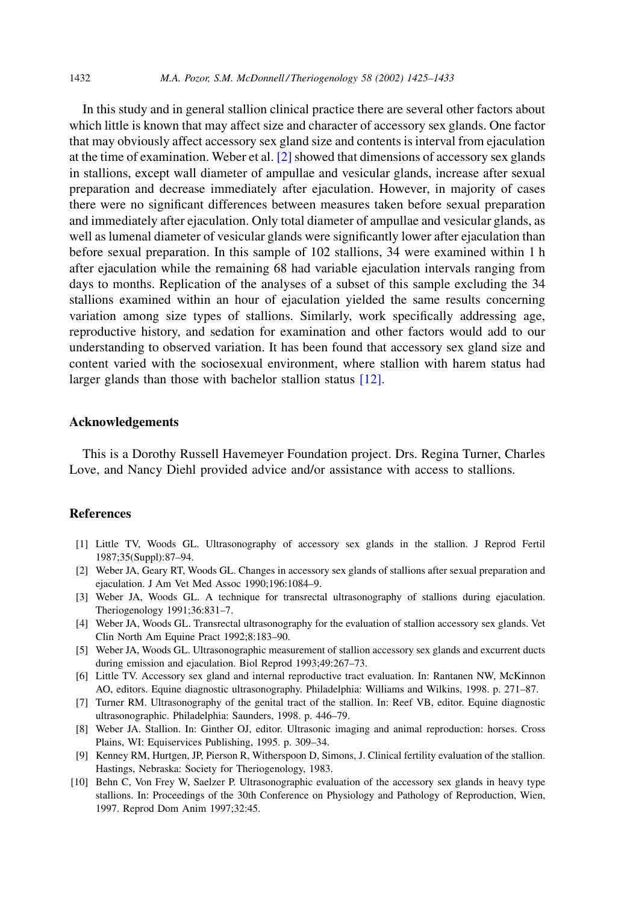<span id="page-7-0"></span>In this study and in general stallion clinical practice there are several other factors about which little is known that may affect size and character of accessory sex glands. One factor that may obviously affect accessory sex gland size and contents is interval from ejaculation at the time of examination. Weber et al.  $[2]$  showed that dimensions of accessory sex glands in stallions, except wall diameter of ampullae and vesicular glands, increase after sexual preparation and decrease immediately after ejaculation. However, in majority of cases there were no significant differences between measures taken before sexual preparation and immediately after ejaculation. Only total diameter of ampullae and vesicular glands, as well as lumenal diameter of vesicular glands were significantly lower after ejaculation than before sexual preparation. In this sample of 102 stallions, 34 were examined within 1 h after ejaculation while the remaining 68 had variable ejaculation intervals ranging from days to months. Replication of the analyses of a subset of this sample excluding the 34 stallions examined within an hour of ejaculation yielded the same results concerning variation among size types of stallions. Similarly, work specifically addressing age, reproductive history, and sedation for examination and other factors would add to our understanding to observed variation. It has been found that accessory sex gland size and content varied with the sociosexual environment, where stallion with harem status had larger glands than those with bachelor stallion status  $[12]$ .

#### **Acknowledgements**

This is a Dorothy Russell Havemeyer Foundation project. Drs. Regina Turner, Charles Love, and Nancy Diehl provided advice and/or assistance with access to stallions.

## **References**

- [1] Little TV, Woods GL. Ultrasonography of accessory sex glands in the stallion. J Reprod Fertil 1987;35(Suppl):87-94.
- [2] Weber JA, Geary RT, Woods GL. Changes in accessory sex glands of stallions after sexual preparation and ejaculation. J Am Vet Med Assoc 1990;196:1084-9.
- [3] Weber JA, Woods GL. A technique for transrectal ultrasonography of stallions during ejaculation. Theriogenology 1991;36:831-7.
- [4] Weber JA, Woods GL. Transrectal ultrasonography for the evaluation of stallion accessory sex glands. Vet Clin North Am Equine Pract 1992;8:183-90.
- [5] Weber JA, Woods GL. Ultrasonographic measurement of stallion accessory sex glands and excurrent ducts during emission and ejaculation. Biol Reprod 1993;49:267-73.
- [6] Little TV. Accessory sex gland and internal reproductive tract evaluation. In: Rantanen NW, McKinnon AO, editors. Equine diagnostic ultrasonography. Philadelphia: Williams and Wilkins, 1998. p. 271–87.
- [7] Turner RM. Ultrasonography of the genital tract of the stallion. In: Reef VB, editor. Equine diagnostic ultrasonographic. Philadelphia: Saunders, 1998. p. 446-79.
- [8] Weber JA. Stallion. In: Ginther OJ, editor. Ultrasonic imaging and animal reproduction: horses. Cross Plains, WI: Equiservices Publishing, 1995. p. 309-34.
- [9] Kenney RM, Hurtgen, JP, Pierson R, Witherspoon D, Simons, J. Clinical fertility evaluation of the stallion. Hastings, Nebraska: Society for Theriogenology, 1983.
- [10] Behn C, Von Frey W, Saelzer P. Ultrasonographic evaluation of the accessory sex glands in heavy type stallions. In: Proceedings of the 30th Conference on Physiology and Pathology of Reproduction, Wien, 1997. Reprod Dom Anim 1997;32:45.